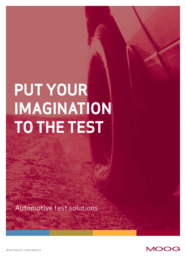# **PUT YOUR IMAGINATION TO THE TEST**

Automotive test solutions



**WHAT MOVES YOUR WORLD**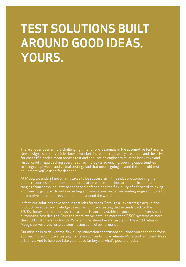## **TEST SOLUTIONS BUILT AROUND GOOD IDEAS. YOURS.**

There's never been a more challenging time for professionals in the automotive test arena. New designs, shorter vehicle time-to-market, increased regulatory pressures and the drive for cost efficiencies mean today's test and application engineers must be innovative and resourceful in approaching every test. Technology is advancing, opening opportunities to integrate physical and virtual testing. And that means going beyond the same old test equipment you've used for decades.

At Moog, we understand what it takes to be successful in this industry. Combining the global resources of a billion-dollar corporation whose solutions are found in applications ranging from heavy industry to space and defense, and the flexibility of a forward-thinking engineering group with roots in testing and simulation, we deliver leading-edge solutions for automotive manufacturers and test labs around the world.

In fact, our solutions have been in test labs for years. Through a key strategic acquisition in 2003, we added a knowledge base in automotive testing that extends back to the 1970s. Today, our team draws from a solid, financially stable corporation to deliver smart automotive test designs. Over the years, we've installed more than 2,500 systems at more than 300 customers worldwide. What's more, almost every test lab in the world relies on Moog's Servovalves for precision motion control performance.

Our mission is to deliver the flexibility, innovation and trusted solutions you need for a fresh approach to automotive testing. To make your tests more reliable. More cost-efficient. More effective. And to help you take your ideas far beyond what's possible today.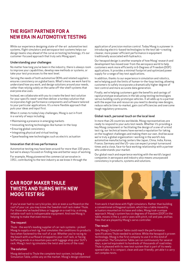## **THE RIGHT PARTNER FOR A NEW ERA IN AUTOMOTIVE TESTING**

While our experience designing state-of-the-art automotive test systems, flight simulators and aerospace test systems helps our design teams stay ahead of the curve on testing technology, it's our customer-focused approach that truly sets Moog apart.

## Understanding your challenges

No matter how long you've been in the industry, there is always room to improve your capabilities, develop new methods or systems, or take your test processes to the next level.

Serving the needs of both automotive OEMs and related suppliers ensures consistency on a global basis. What's more, we work hard to understand how you work, and design solutions around your needs, rather than relying solely on the same off-the-shelf systems that everyone else uses.

Instead, we collaborate with you to create the best test solution for your specific need—and then deliver a turnkey solution that incorporates high-performance components and software tailored to your particular applications. It's a more flexible approach that puts your ideas and input first.

When it comes to today's key challenges, Moog is out in front in a variety of ways including:

- Maintaining a presence in emerging markets
- Innovating testing technologies like human-in-the-loop
- Ensuring global consistency
- Integrating physical and virtual testing
- Spearheading new technologies such as electric actuation

#### Innovation that drives performance

Automotive testing may have been around for more than 100 years, but we're always focused on finding new and better ways of working.

For example, Moog pioneered the commercial servovalve in 1951, contributing to the test industry as we know it through the

application of precision motion control. Today Moog is a pioneer in introducing electric-based technologies to the test lab—creating cleaner, more power-efficient performance in equipment traditionally associated with hydraulics.

Our hexapod design is another example of how Moog' research and development has moved over from the aerospace world to help customers work more efficiently in 6-Degrees of Freedom (DOF) applications. It provides a minimal footprint and optimized power supply for a range of key test applications.

In addition, thanks to our experience in simulation and robotics, we're helping push the limits of human-in-the-loop testing; allowing customers to safely incorporate a dramatically higher degree of test control and more accurate data generation.

Finally, we're helping customers gain the benefits and savings of rapid prototype evaluations in the lab using testing technologies versus building costly prototype vehicles. It all adds up to a partner with the expertise and resources you need to develop new designs, reduce vehicle time-to-market, gain cost efficiencies and overcome tough regulatory pressures.

#### Global reach, personal touch on the local level

In more than 26 countries worldwide, Moog representatives are ready to respond to your auto test needs. Whether it's providing a key Moog component or facilitating the design of a one-of-a-kind test rig, our technical teams have earned a reputation for taking on the toughest challenges and making them our own. And because we're truly a global organization—working in the world's key automotive manufacturing centers like Japan, China, India, Korea, France, Germany and the US—you can expect prompt turnaround times and a close, face-to-face working relationship with a partner who understands your market.

Our global reach and experience working with the world's largest companies in aerospace and industry also means unsurpassed consistency in products, systems and solutions.

## **CAR ROOF MAKER THULE TWISTS AND TURNS WITH NEW MOOG TEST RIG**

If you've ever had to carry bicycles, skis or even a surfboard on the roof of your car, you may know the Swedish roof rack maker Thule. For those who've hauled bikes or luggage on a road trip, a strong, reliable roof rack is indispensable equipment. And now Moog is helping to make that even more so.

#### The request

Thule - the world's leading supplier of car rack systems - picked Moog to supply a test rig, that simulates the conditions its products face when fastened to the roof of a car. Whether you're racing to the beach with a surfboard strapped to your roof rack, or facing buffeting winds in a mountain pass with luggage atop your SUV's rack, Moog's test rig simulates the twist and turns of the road.

## The solution

Moog delivered to Thule the complete test system, including a Simulation Table, unlike any on the market. Moog's design stemmed



from work it had done with flight simulators. Rather than building a conventional orthogonal system, which has a table moved by actuators mounted on its base and sides, Moog took a unique approach. Moog's system has six degrees of freedom (DOF) in the table, moves in the x, y and z-axes with pitch, roll and yaw, and has files that are played by Moog's servo controller.

#### The result

Only Moog's Simulation Table could reach the performance specifications Thule needed to achieve. While the hexapod is proven technology, Moog is the first company to use it in this kind of application. The Simulation Table can run continuously for several days, a period equivalent to hundreds of thousands of road miles. Thule is pleased with its new test system that is part of its newly opened labs. It is compact, clean and user friendly, yet able t o carry out complex tests.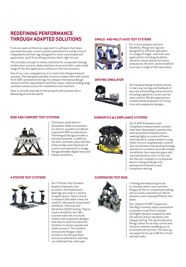## **REDEFINING PERFORMANCE THROUGH ADAPTED SOLUTIONS**

From our open architecture approach to software that helps you maximize your current system investment to a wide array of components and test rigs designed for every conceivable test application, you'll find a Moog solution that's right for you.

This includes concept to reality solutions for component testing, turnkey test systems, dedicated test servocontrollers, and a wide range of the test application software in the test business.

One of our core competencies is in control for Hexapod-based systems. The Hexapod's parallel structure makes them well-suited for 6-DOF automotive testing. Its compact mechanical design reduces facility requirements and floor space, while providing large symmetrical excursions for translations and rotations.

Here is a broad overview of the products and systems we're delivering around the world.

## **SINGLE- AND MULTI-AXIS TEST SYSTEMS**



For critical analysis and test flexibility, Moog' test rigs are designed for efficient operation in a range of single- and multi-axis applications including durability, vibration, shock and performance evaluations. All units can be modified to accept a range of test specimens.

## **DRIVING SIMULATOR**



Our hexapod design enables humanin-the-loop testing and feedback of key ride and handling characteristics including ergonomic issues such as seat comfort. Recent applications include human evaluation of virtual tires and suspension designs.

## **RIDE AND COMFORT TEST SYSTEMS**



The human rated electric Simulation Table incorporates six electric actuators to deliver required 6-DOF accelerations. The hexapod design provides a minimal footprint. In addition, the test controller plays the files and provides exacting levels of control and operation to bridge the gap between digital data and human sensations.



**KINEMATICS & COMPLIANCE SYSTEMS**

Our 6-DOF Kinematics and Compliance measurement systems have been developed in partnership with automotive manufacturers seeking highly accurate stiffness and kinematics measurements using either force or displacement control. Our revolutionary hexapod technology and electric actuation provide simpler installation, less required space and low maintenance costs. In fact, we are the only company to incorporate electric hexapod design into automotive kinematics and compliance testing.

## **4-POSTER TEST SYSTEMS**



Our 4-Poster Test Systems based on hydraulic test actuators with hydrostatic bearings are used in a variety of applications. They're found in research labs where they are used for ride quality assessment and Noise, Vibration and Harshness (NVH) testing. They're used in durability test labs to prove selected structural, chassis and suspension designs. And they're used in production facilities to assess squeak and rattle concerns. The systems incorporate fatigue-rated actuators for the specified vertical accelerations and they can withstand the side loads.

## **SUSPENSION TEST RIGS**



Creating and measuring forces to simulate and to test real time fatigue of the car suspensions taking into account a maximum of vehicle dynamics and creating different test laods.

Our compact 6-DOF Suspension Test Rig is used by major automotive customers to perform complex and highly dynamic suspension and full vehicle chassis durability and fatigue testing. The rig incorporates Moog's latest force loop control and iteration software enabling you to accelerate set-up time. This test rig can apply forces up to 80 Hz to front and rear axles.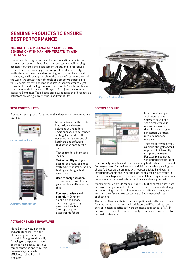## **GENUINE PRODUCTS TO ENSURE BEST PERFORMANCE**

## **MEETING THE CHALLENGE OF A NEW TESTING GENERATION WITH MAXIMUM VERSATILITY AND STIFFNESS**

The hexapod configuration used by the Simulation Table is the optimum design to achieve simulation and test capability using acceleration, force and displacement inputs, and to reproduce data collected on proving grounds regardless of your test type, method or specimen. By understanding today's test trends and challenges, and listening closely to the needs of customers around the world, we provide the right tools and proactive expertise to take automotive test applications further than you ever thought possible. To meet the high demand for hydraulic Simulation Tables to accommodate loads up to 680 kg (1,500 lb), we developed a standard Simulation Table based on a new generation of hydrostatic actuators providing more stiffness and versatility.



*Hydraulic Simulation Table*

## **TEST CONTROLLERS**

A customized approach for structural and performance automotive testing.



*Portable Test Controller*



*Automotive Test Controller*

## **ACTUATORS AND SERVOVALVES**

Moog Servovalves, manifolds and actuators are just a few of the components that are critical to Moog' solutions. By focusing on the performance of these high-quality individual components, the entire system can reach higher levels of efficiency, reliability and longevity.

Moog delivers the flexibility, innovation and trusted solutions you need for a smart approach to aerospace testing. The heart of all our solutions is the control hardware and software that sets the pace for the industry.

Test controller advantages include:

**Test versatility —** Single channel and multi-axis test systems, structural durability testing and fatigue test spectrums.

**User-friendly operation —**  For maximum flexibility in your test lab and less set-up time.

**Run test precisely and** 

**securely —** Constant amplitude and phase matching engineering specifications, test interruption prior to catastrophic failure.

## **SOFTWARE SUITE**



Moog provides open architecture control software developed specifically for your unique test needs in durability and fatigue, simulation, vibration, measurement and analysis.

The test software offers a unique straightforward approach to inherently complex processes. For example, it makes simulation using iteration,

a notoriously complex and time-consuming test technique, easy and fast to use, even for novice users. A rich integrated sequencing tool allows full block programming with loops, serialized and parallel instructions. Additionally, script instructions can be integrated in the sequence to perform custom actions. Online, frequency and time domain response based safety functions are also supported.

Moog delivers on a wide range of specific test application software packages for systems identification, iteration, sequences building and monitoring. In addition to custom application software, our standard interface allows customers to implement their own applications.

The test software suite is totally compatible with all common data formats on the market today. In addition, the PC-based test and our application-specific software solutions use standard TCP/IP hardware to connect to our test family of controllers, as well as to our test controllers.



*Servovalve*

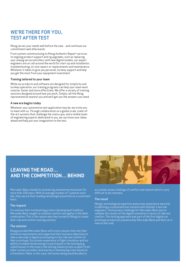## **WE'RE THERE FOR YOU, TEST AFTER TEST**

Moog serves your needs well before the sale…and continues our commitment well afterwards.

From system commissioning to Moog Authentic Repair® services to ongoing product support and rig upgrades, such as replacing your analog servocontrollers with new digital models, our expert engineers are on call around the world for start-up and installation, troubleshooting, on-site repairs or replacements and maintenance. Whatever it takes to give you personal, turnkey support and help you get the most from your equipment investment.

## Training tailored to your team

While our products and software are designed for simplicity and turnkey operation, our training programs can help your team work smarter, faster and more effectively. We offer a variety of training sessions designed around how you work. Simply call the Moog representative nearest you and we'll get you the answers you need.

## A new era begins today

Whatever your automotive test application may be, we invite you to meet with us. Through collaboration on a global scale, state-ofthe-art systems that challenge the status quo, and a nimble team of engineering experts dedicated to you, we can move your ideas ahead and help put your imagination to the test.

## **LEAVING THE ROAD… AND THE COMPETITION… BEHIND**

Mercedes-Benz stands for pioneering automotive innovation for more than 100 years. With an average number of 7 patents each day, they secure their leading technological position on a consistent basis.

## The request

To continue their trendsetting product development tradition, Mercedes Benz sought to combine comfort and agility in the ideal combination. This is the reason why they turned to Moog to create their ride and comfort testing solution.

#### The solution

Moog provided Mercedes-Benz with a test solution that met their technical requirements and supported their business objectives to take a new step in digital prototyping to test ride and comfort of their prototype. Our proven experience in flight simulation and our ability to enable human beings to participate in the testing (e.g. called human-in-the-loop in the testing industry) sets us apart from other system providers and was key in developing a test based on a Simulation Table. In this case, the human being would be able to



accurately assess feelings of comfort and realism which is very difficult to do remotely.

## The result

Moog's technological expertise and proven experience were key to defining a customized test solution with Daimler's test lab engineers. The business challenge for Mercedes-Benz was to validate the results of the digital simulation in terms of ride and comfort. This testing approach was part of the first digital car prototype production pioneered by Mercedes Benz and that car is now on the road.